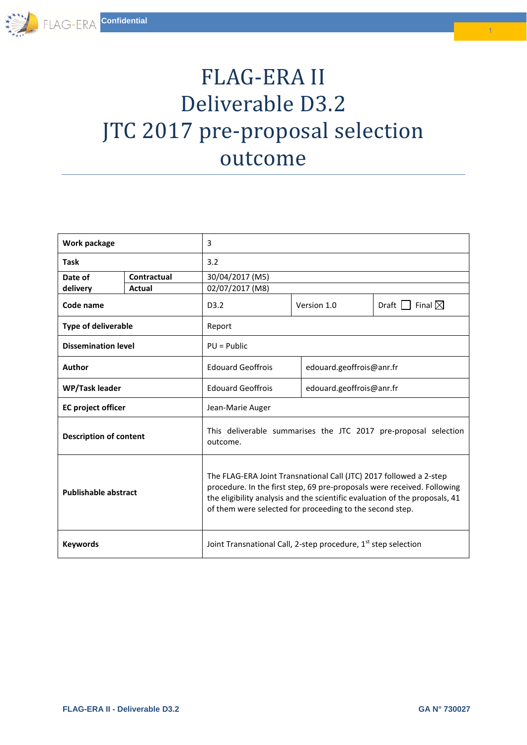## FLAG-ERA II Deliverable D3.2 JTC 2017 pre-proposal selection outcome

| Work package                  |             | 3                                                                                                                                                                                                                                                                                        |             |                                              |  |  |
|-------------------------------|-------------|------------------------------------------------------------------------------------------------------------------------------------------------------------------------------------------------------------------------------------------------------------------------------------------|-------------|----------------------------------------------|--|--|
| <b>Task</b>                   |             | 3.2                                                                                                                                                                                                                                                                                      |             |                                              |  |  |
| Date of                       | Contractual | 30/04/2017 (M5)                                                                                                                                                                                                                                                                          |             |                                              |  |  |
| delivery                      | Actual      | 02/07/2017 (M8)                                                                                                                                                                                                                                                                          |             |                                              |  |  |
| Code name                     |             | D <sub>3.2</sub>                                                                                                                                                                                                                                                                         | Version 1.0 | Final $\boxtimes$<br>$Draff$ $\vert \ \vert$ |  |  |
| <b>Type of deliverable</b>    |             | Report                                                                                                                                                                                                                                                                                   |             |                                              |  |  |
| <b>Dissemination level</b>    |             | $PU = Public$                                                                                                                                                                                                                                                                            |             |                                              |  |  |
| Author                        |             | <b>Edouard Geoffrois</b>                                                                                                                                                                                                                                                                 |             | edouard.geoffrois@anr.fr                     |  |  |
| WP/Task leader                |             | <b>Edouard Geoffrois</b>                                                                                                                                                                                                                                                                 |             | edouard.geoffrois@anr.fr                     |  |  |
| <b>EC</b> project officer     |             | Jean-Marie Auger                                                                                                                                                                                                                                                                         |             |                                              |  |  |
| <b>Description of content</b> |             | This deliverable summarises the JTC 2017 pre-proposal selection<br>outcome.                                                                                                                                                                                                              |             |                                              |  |  |
| <b>Publishable abstract</b>   |             | The FLAG-ERA Joint Transnational Call (JTC) 2017 followed a 2-step<br>procedure. In the first step, 69 pre-proposals were received. Following<br>the eligibility analysis and the scientific evaluation of the proposals, 41<br>of them were selected for proceeding to the second step. |             |                                              |  |  |
| <b>Keywords</b>               |             | Joint Transnational Call, 2-step procedure, 1st step selection                                                                                                                                                                                                                           |             |                                              |  |  |

1